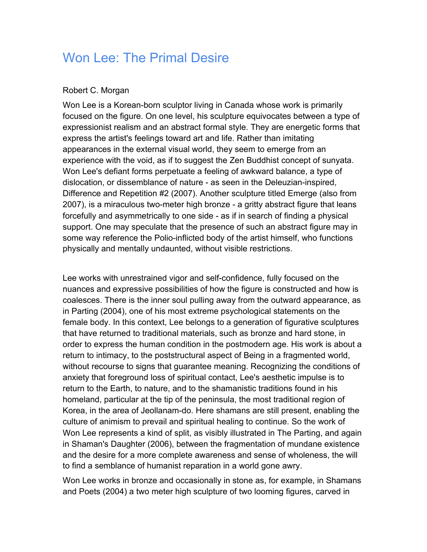## Won Lee: The Primal Desire

## Robert C. Morgan

Won Lee is a Korean-born sculptor living in Canada whose work is primarily focused on the figure. On one level, his sculpture equivocates between a type of expressionist realism and an abstract formal style. They are energetic forms that express the artist's feelings toward art and life. Rather than imitating appearances in the external visual world, they seem to emerge from an experience with the void, as if to suggest the Zen Buddhist concept of sunyata. Won Lee's defiant forms perpetuate a feeling of awkward balance, a type of dislocation, or dissemblance of nature - as seen in the Deleuzian-inspired, Difference and Repetition #2 (2007). Another sculpture titled Emerge (also from 2007), is a miraculous two-meter high bronze - a gritty abstract figure that leans forcefully and asymmetrically to one side - as if in search of finding a physical support. One may speculate that the presence of such an abstract figure may in some way reference the Polio-inflicted body of the artist himself, who functions physically and mentally undaunted, without visible restrictions.

Lee works with unrestrained vigor and self-confidence, fully focused on the nuances and expressive possibilities of how the figure is constructed and how is coalesces. There is the inner soul pulling away from the outward appearance, as in Parting (2004), one of his most extreme psychological statements on the female body. In this context, Lee belongs to a generation of figurative sculptures that have returned to traditional materials, such as bronze and hard stone, in order to express the human condition in the postmodern age. His work is about a return to intimacy, to the poststructural aspect of Being in a fragmented world, without recourse to signs that guarantee meaning. Recognizing the conditions of anxiety that foreground loss of spiritual contact, Lee's aesthetic impulse is to return to the Earth, to nature, and to the shamanistic traditions found in his homeland, particular at the tip of the peninsula, the most traditional region of Korea, in the area of Jeollanam-do. Here shamans are still present, enabling the culture of animism to prevail and spiritual healing to continue. So the work of Won Lee represents a kind of split, as visibly illustrated in The Parting, and again in Shaman's Daughter (2006), between the fragmentation of mundane existence and the desire for a more complete awareness and sense of wholeness, the will to find a semblance of humanist reparation in a world gone awry.

Won Lee works in bronze and occasionally in stone as, for example, in Shamans and Poets (2004) a two meter high sculpture of two looming figures, carved in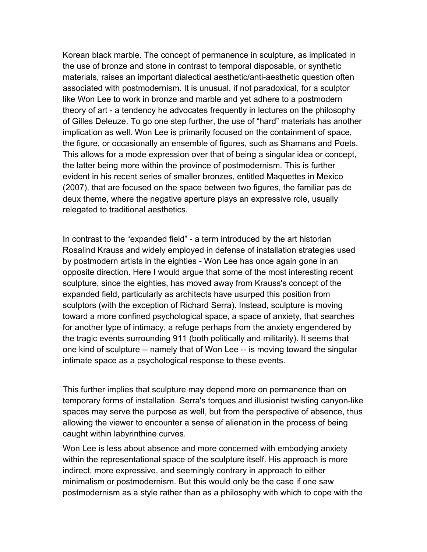Korean black marble. The concept of permanence in sculpture, as implicated in the use of bronze and stone in contrast to temporal disposable, or synthetic materials, raises an important dialectical aesthetic/anti-aesthetic question often associated with postmodernism. It is unusual, if not paradoxical, for a sculptor like Won Lee to work in bronze and marble and yet adhere to a postmodern theory of art - a tendency he advocates frequently in lectures on the philosophy of Gilles Deleuze. To go one step further, the use of "hard" materials has another implication as well. Won Lee is primarily focused on the containment of space, the figure, or occasionally an ensemble of figures, such as Shamans and Poets. This allows for a mode expression over that of being a singular idea or concept, the latter being more within the province of postmodernism. This is further evident in his recent series of smaller bronzes, entitled Maquettes in Mexico (2007), that are focused on the space between two figures, the familiar pas de deux theme, where the negative aperture plays an expressive role, usually relegated to traditional aesthetics.

In contrast to the "expanded field" - a term introduced by the art historian Rosalind Krauss and widely employed in defense of installation strategies used by postmodern artists in the eighties - Won Lee has once again gone in an opposite direction. Here I would argue that some of the most interesting recent sculpture, since the eighties, has moved away from Krauss's concept of the expanded field, particularly as architects have usurped this position from sculptors (with the exception of Richard Serra). Instead, sculpture is moving toward a more confined psychological space, a space of anxiety, that searches for another type of intimacy, a refuge perhaps from the anxiety engendered by the tragic events surrounding 911 (both politically and militarily). It seems that one kind of sculpture -- namely that of Won Lee -- is moving toward the singular intimate space as a psychological response to these events.

This further implies that sculpture may depend more on permanence than on temporary forms of installation. Serra's torques and illusionist twisting canyon-like spaces may serve the purpose as well, but from the perspective of absence, thus allowing the viewer to encounter a sense of alienation in the process of being caught within labyrinthine curves.

Won Lee is less about absence and more concerned with embodying anxiety within the representational space of the sculpture itself. His approach is more indirect, more expressive, and seemingly contrary in approach to either minimalism or postmodernism. But this would only be the case if one saw postmodernism as a style rather than as a philosophy with which to cope with the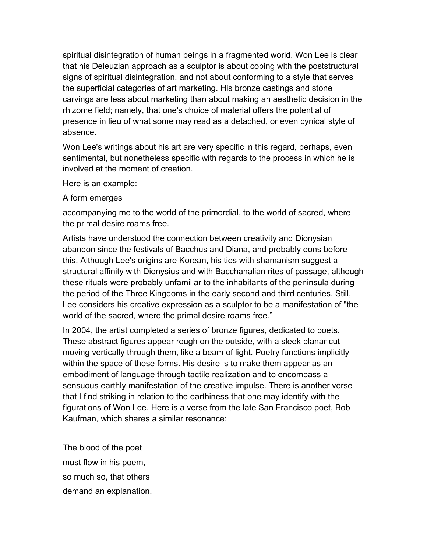spiritual disintegration of human beings in a fragmented world. Won Lee is clear that his Deleuzian approach as a sculptor is about coping with the poststructural signs of spiritual disintegration, and not about conforming to a style that serves the superficial categories of art marketing. His bronze castings and stone carvings are less about marketing than about making an aesthetic decision in the rhizome field; namely, that one's choice of material offers the potential of presence in lieu of what some may read as a detached, or even cynical style of absence.

Won Lee's writings about his art are very specific in this regard, perhaps, even sentimental, but nonetheless specific with regards to the process in which he is involved at the moment of creation.

Here is an example:

## A form emerges

accompanying me to the world of the primordial, to the world of sacred, where the primal desire roams free.

Artists have understood the connection between creativity and Dionysian abandon since the festivals of Bacchus and Diana, and probably eons before this. Although Lee's origins are Korean, his ties with shamanism suggest a structural affinity with Dionysius and with Bacchanalian rites of passage, although these rituals were probably unfamiliar to the inhabitants of the peninsula during the period of the Three Kingdoms in the early second and third centuries. Still, Lee considers his creative expression as a sculptor to be a manifestation of "the world of the sacred, where the primal desire roams free."

In 2004, the artist completed a series of bronze figures, dedicated to poets. These abstract figures appear rough on the outside, with a sleek planar cut moving vertically through them, like a beam of light. Poetry functions implicitly within the space of these forms. His desire is to make them appear as an embodiment of language through tactile realization and to encompass a sensuous earthly manifestation of the creative impulse. There is another verse that I find striking in relation to the earthiness that one may identify with the figurations of Won Lee. Here is a verse from the late San Francisco poet, Bob Kaufman, which shares a similar resonance:

The blood of the poet must flow in his poem, so much so, that others demand an explanation.